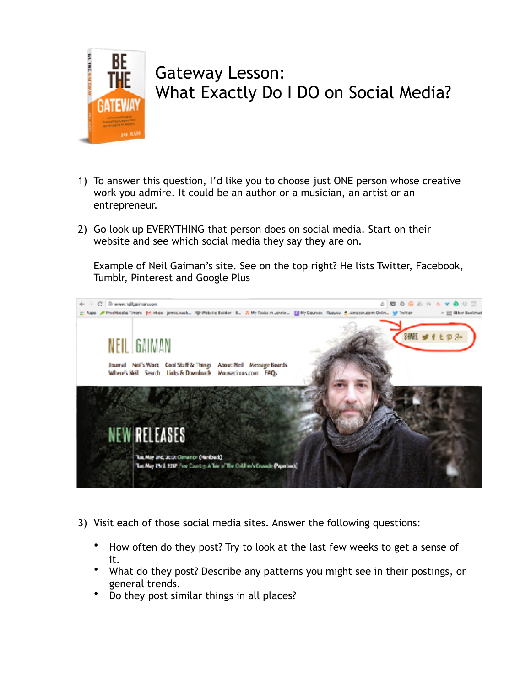

## Gateway Lesson: What Exactly Do I DO on Social Media?

- 1) To answer this question, I'd like you to choose just ONE person whose creative work you admire. It could be an author or a musician, an artist or an entrepreneur.
- 2) Go look up EVERYTHING that person does on social media. Start on their website and see which social media they say they are on.

Example of Neil Gaiman's site. See on the top right? He lists Twitter, Facebook, Tumblr, Pinterest and Google Plus



- 3) Visit each of those social media sites. Answer the following questions:
	- How often do they post? Try to look at the last few weeks to get a sense of it.
	- What do they post? Describe any patterns you might see in their postings, or general trends.
	- Do they post similar things in all places?